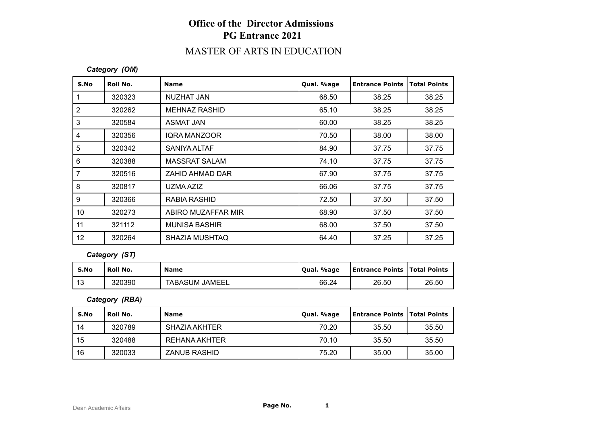# **Office of the Director Admissions PG Entrance 2021**

### MASTER OF ARTS IN EDUCATION

#### *Category (OM)*

| S.No           | Roll No. | <b>Name</b>           | Qual. %age | <b>Entrance Points</b> | <b>Total Points</b> |
|----------------|----------|-----------------------|------------|------------------------|---------------------|
|                | 320323   | NUZHAT JAN            | 68.50      | 38.25                  | 38.25               |
| $\overline{2}$ | 320262   | <b>MEHNAZ RASHID</b>  | 65.10      | 38.25                  | 38.25               |
| 3              | 320584   | ASMAT JAN             | 60.00      | 38.25                  | 38.25               |
| 4              | 320356   | <b>IQRA MANZOOR</b>   | 70.50      | 38.00                  | 38.00               |
| 5              | 320342   | SANIYA ALTAF          | 84.90      | 37.75                  | 37.75               |
| 6              | 320388   | <b>MASSRAT SALAM</b>  | 74.10      | 37.75                  | 37.75               |
| $\overline{7}$ | 320516   | ZAHID AHMAD DAR       | 67.90      | 37.75                  | 37.75               |
| 8              | 320817   | UZMA AZIZ             | 66.06      | 37.75                  | 37.75               |
| 9              | 320366   | RABIA RASHID          | 72.50      | 37.50                  | 37.50               |
| 10             | 320273   | ABIRO MUZAFFAR MIR    | 68.90      | 37.50                  | 37.50               |
| 11             | 321112   | <b>MUNISA BASHIR</b>  | 68.00      | 37.50                  | 37.50               |
| 12             | 320264   | <b>SHAZIA MUSHTAQ</b> | 64.40      | 37.25                  | 37.25               |

#### *Category (ST)*

| S.No             | Roll No. | <b>Name</b>           | Oual. %age | <b>Entrance Points   Total Points</b> |       |
|------------------|----------|-----------------------|------------|---------------------------------------|-------|
| $\Lambda$<br>ں ا | 320390   | <b>TABASUM JAMEEL</b> | 66.24      | 26.50                                 | 26.50 |

*Category (RBA)*

| S.No | Roll No. | <b>Name</b>         | Qual. %age | Entrance Points   Total Points |       |
|------|----------|---------------------|------------|--------------------------------|-------|
| 14   | 320789   | SHAZIA AKHTER       | 70.20      | 35.50                          | 35.50 |
| 15   | 320488   | REHANA AKHTER       | 70.10      | 35.50                          | 35.50 |
| 16   | 320033   | <b>ZANUB RASHID</b> | 75.20      | 35.00                          | 35.00 |